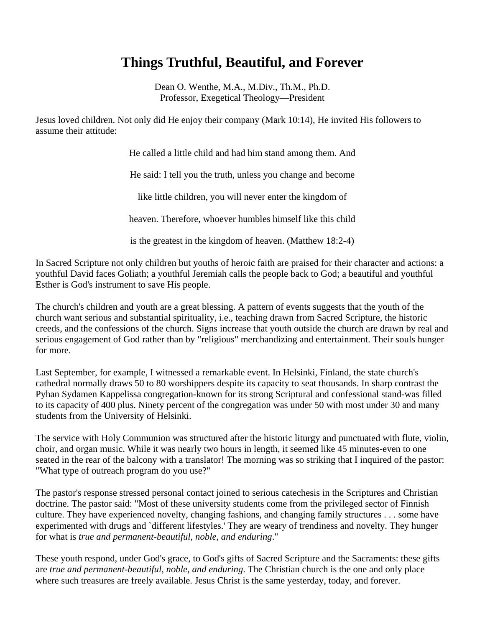## **Things Truthful, Beautiful, and Forever**

Dean O. Wenthe, M.A., M.Div., Th.M., Ph.D. Professor, Exegetical Theology—President

Jesus loved children. Not only did He enjoy their company (Mark 10:14), He invited His followers to assume their attitude:

He called a little child and had him stand among them. And

He said: I tell you the truth, unless you change and become

like little children, you will never enter the kingdom of

heaven. Therefore, whoever humbles himself like this child

is the greatest in the kingdom of heaven. (Matthew 18:2-4)

In Sacred Scripture not only children but youths of heroic faith are praised for their character and actions: a youthful David faces Goliath; a youthful Jeremiah calls the people back to God; a beautiful and youthful Esther is God's instrument to save His people.

The church's children and youth are a great blessing. A pattern of events suggests that the youth of the church want serious and substantial spirituality, i.e., teaching drawn from Sacred Scripture, the historic creeds, and the confessions of the church. Signs increase that youth outside the church are drawn by real and serious engagement of God rather than by "religious" merchandizing and entertainment. Their souls hunger for more.

Last September, for example, I witnessed a remarkable event. In Helsinki, Finland, the state church's cathedral normally draws 50 to 80 worshippers despite its capacity to seat thousands. In sharp contrast the Pyhan Sydamen Kappelissa congregation-known for its strong Scriptural and confessional stand-was filled to its capacity of 400 plus. Ninety percent of the congregation was under 50 with most under 30 and many students from the University of Helsinki.

The service with Holy Communion was structured after the historic liturgy and punctuated with flute, violin, choir, and organ music. While it was nearly two hours in length, it seemed like 45 minutes-even to one seated in the rear of the balcony with a translator! The morning was so striking that I inquired of the pastor: "What type of outreach program do you use?"

The pastor's response stressed personal contact joined to serious catechesis in the Scriptures and Christian doctrine. The pastor said: "Most of these university students come from the privileged sector of Finnish culture. They have experienced novelty, changing fashions, and changing family structures . . . some have experimented with drugs and `different lifestyles.' They are weary of trendiness and novelty. They hunger for what is *true and permanent-beautiful, noble, and enduring*."

These youth respond, under God's grace, to God's gifts of Sacred Scripture and the Sacraments: these gifts are *true and permanent-beautiful, noble, and enduring*. The Christian church is the one and only place where such treasures are freely available. Jesus Christ is the same yesterday, today, and forever.